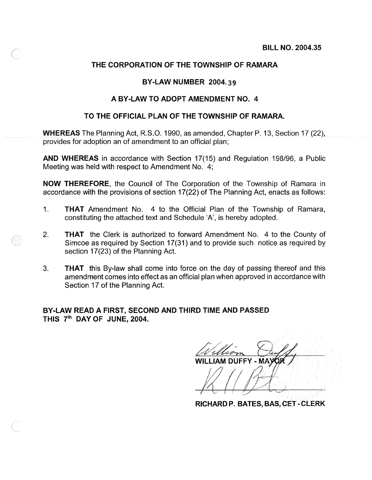## **THE CORPORATION OF THE TOWNSHIP OF RAMARA**

### **BY-LAW NUMBER 2004.39**

#### **A BY-LAW TO ADOPT AMENDMENT NO. 4**

### **TO THE OFFICIAL PLAN OF THE TOWNSHIP OF RAMARA.**

**WHEREAS** The Planning Act, R.S.O. 1990, as amended, Chapter P. 13, Section 17 (22), provides for adoption an of amendment to an official plan;

**AND WHEREAS in** accordance with Section 17(15) and Regulation 198/96, a Public Meeting was held with respect to Amendment No. 4;

**NOW THEREFORE,** the Council of The Corporation of the Township of Ramara in accordance with the provisions of section 17(22) of The Planning Act, enacts as follows:

- 1. **THAT** Amendment No. 4 to the Official Plan of the Township of Ramara, constituting the attached text and Schedule 'A', is hereby adopted.
- 2. **THAT** the Clerk is authorized to forward Amendment No. 4 to the County of Simcoe as required by Section 17(31) and to provide such notice as required by section 17(23) of the Planning Act.
- 3. **THAT** this By-law shall come into force on the day of passing thereof and this amendment comes into effect as an official plan when approved in accordance with Section 17 of the Planning Act.

**BY-LAW READ A FIRST, SECOND AND THIRD TIME AND PASSED THIS** 7th **DAY OF JUNE, 2004.** 

WILLIAM DUFFY - MAYOR

**RICHARD P. BATES, BAS, CeT - CLERK**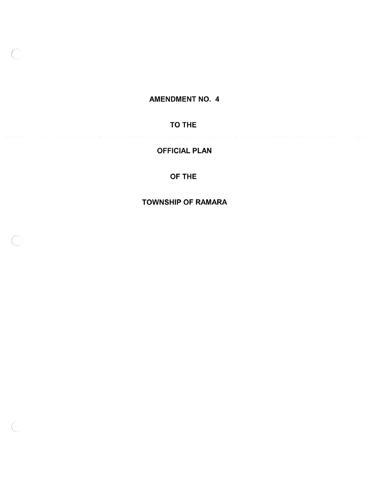# AMENDMENT NO. 4

# TO THE

# OFFICIAL PLAN

## OF THE

TOWNSHIP OF RAMARA

 $\mathbb{C}$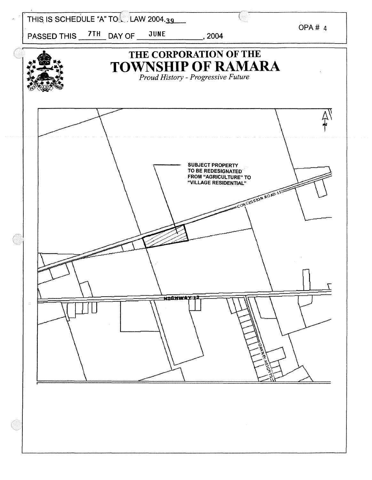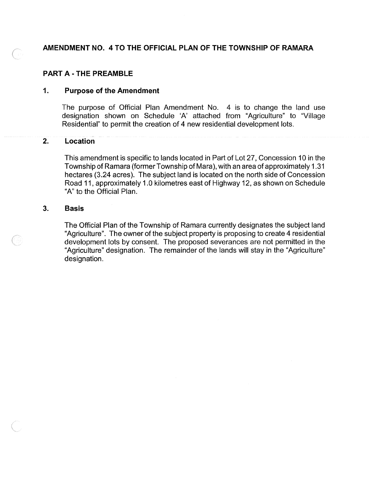## AMENDMENT NO. 4 TO THE OFFICIAL PLAN OF THE TOWNSHIP OF RAMARA

### PART A - THE PREAMBLE

### 1. Purpose of the Amendment

The purpose of Official Plan Amendment No. 4 is to change the land use designation shown on Schedule 'A' attached from "Agriculture" to "Village Residential" to permit the creation of 4 new residential development lots.

### 2. Location

This amendment is specific to lands located in Part of Lot 27, Concession 10 in the Township of Ramara (former Township of Mara) , with an area of approximately 1.31 hectares (3.24 acres). The subject land is located on the north side of Concession Road 11, approximately 1.0 kilometres east of Highway 12, as shown on Schedule "A" to the Official Plan.

#### 3. Basis

The Official Plan of the Township of Ramara currently designates the subject land "Agriculture". The owner of the subject property is proposing to create 4 residential development lots by consent. The proposed severances are not permitted in the "Agriculture" designation. The remainder of the lands will stay in the "Agriculture" designation.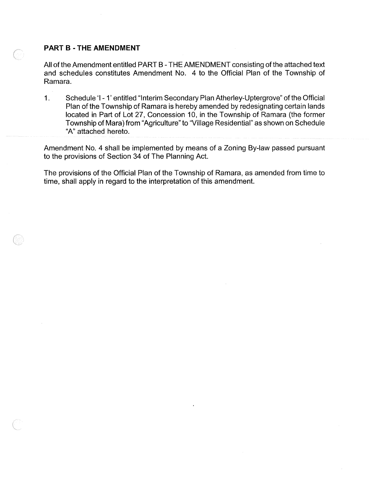### **PART B • THE AMENDMENT**

All of the Amendment entitled PART B - THE AMENDMENT consisting of the attached text and schedules constitutes Amendment No. 4 to the Official Plan of the Township of Ramara.

1. Schedule 'I - 1' entitled "Interim Secondary Plan Atherley-Uptergrove" of the Official Plan of the Township of Ramara is hereby amended by redesignating certain lands located in Part of Lot 27, Concession 10, in the Township of Ramara (the former Township of Mara) from "Agriculture" to "Village Residential" as shown on Schedule "A" attached hereto.

Amendment No.4 shall be implemented by means of a Zoning By-law passed pursuant to the provisions of Section 34 of The Planning Act.

The provisions of the Official Plan of the Township of Ramara, as amended from time to time, shall apply in regard to the interpretation of this amendment.